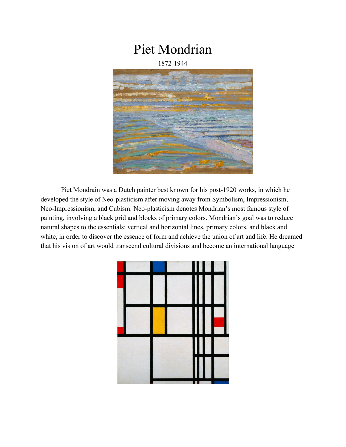## Piet Mondrian

## 1872-1944



Piet Mondrain was a Dutch painter best known for his post-1920 works, in which he developed the style of Neo-plasticism after moving away from Symbolism, Impressionism, Neo-Impressionism, and Cubism. Neo-plasticism denotes Mondrian's most famous style of painting, involving a black grid and blocks of primary colors. Mondrian's goal was to reduce natural shapes to the essentials: vertical and horizontal lines, primary colors, and black and white, in order to discover the essence of form and achieve the union of art and life. He dreamed that his vision of art would transcend cultural divisions and become an international language